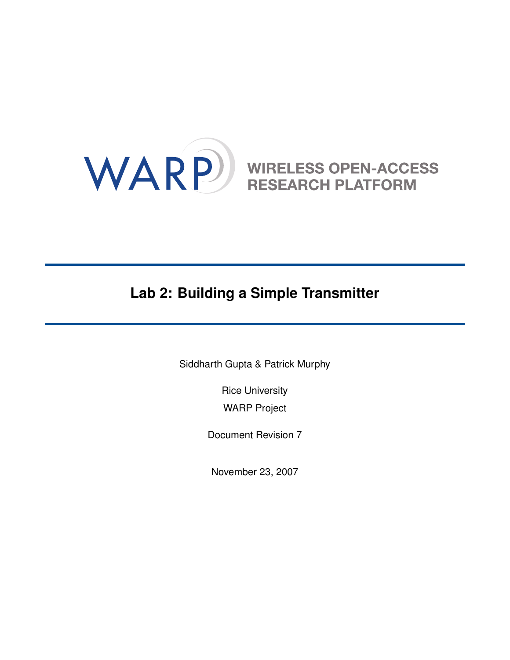

# **Lab 2: Building a Simple Transmitter**

Siddharth Gupta & Patrick Murphy

Rice University WARP Project

Document Revision 7

November 23, 2007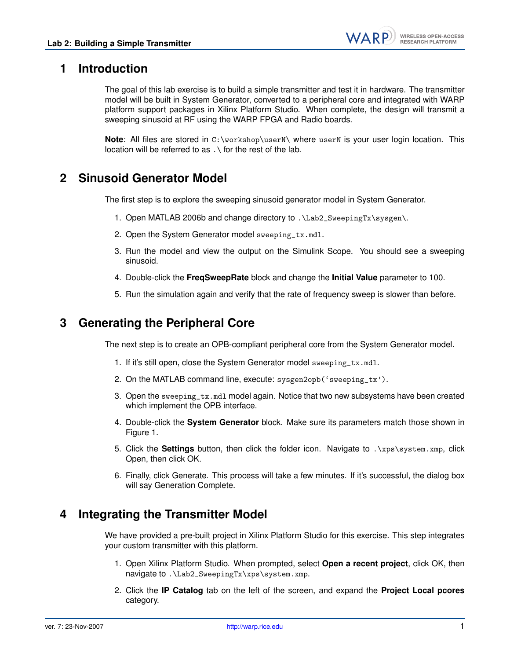# **1 Introduction**

The goal of this lab exercise is to build a simple transmitter and test it in hardware. The transmitter model will be built in System Generator, converted to a peripheral core and integrated with WARP platform support packages in Xilinx Platform Studio. When complete, the design will transmit a sweeping sinusoid at RF using the WARP FPGA and Radio boards.

**Note**: All files are stored in C:\workshop\userN\ where userN is your user login location. This location will be referred to as .\ for the rest of the lab.

# **2 Sinusoid Generator Model**

The first step is to explore the sweeping sinusoid generator model in System Generator.

- 1. Open MATLAB 2006b and change directory to .\Lab2\_SweepingTx\sysgen\.
- 2. Open the System Generator model sweeping\_tx.mdl.
- 3. Run the model and view the output on the Simulink Scope. You should see a sweeping sinusoid.
- 4. Double-click the **FreqSweepRate** block and change the **Initial Value** parameter to 100.
- 5. Run the simulation again and verify that the rate of frequency sweep is slower than before.

#### **3 Generating the Peripheral Core**

The next step is to create an OPB-compliant peripheral core from the System Generator model.

- 1. If it's still open, close the System Generator model sweeping\_tx.mdl.
- 2. On the MATLAB command line, execute: sysgen2opb('sweeping\_tx').
- 3. Open the sweeping\_tx.mdl model again. Notice that two new subsystems have been created which implement the OPB interface.
- 4. Double-click the **System Generator** block. Make sure its parameters match those shown in Figure [1.](#page-2-0)
- 5. Click the **Settings** button, then click the folder icon. Navigate to .\xps\system.xmp, click Open, then click OK.
- 6. Finally, click Generate. This process will take a few minutes. If it's successful, the dialog box will say Generation Complete.

#### **4 Integrating the Transmitter Model**

We have provided a pre-built project in Xilinx Platform Studio for this exercise. This step integrates your custom transmitter with this platform.

- 1. Open Xilinx Platform Studio. When prompted, select **Open a recent project**, click OK, then navigate to .\Lab2\_SweepingTx\xps\system.xmp.
- 2. Click the **IP Catalog** tab on the left of the screen, and expand the **Project Local pcores** category.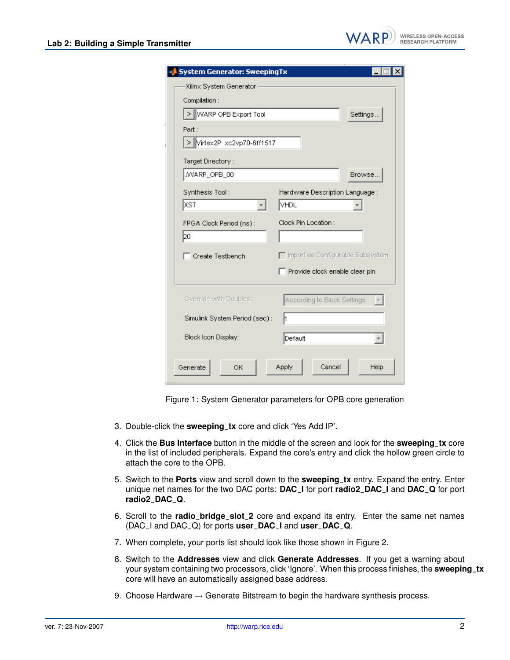| <b>System Generator: SweepingTx</b>                    |
|--------------------------------------------------------|
| Xilinx System Generator                                |
| Compilation:                                           |
| > WARP OPB Export Tool<br>Settings                     |
|                                                        |
| Part :                                                 |
| > Virtex2P xc2vp70-6ff1517                             |
| Target Directory:                                      |
| MARP_OPB_00<br>Browse.                                 |
| Synthesis Tool:<br>Hardware Description Language:      |
| XST<br>VHDL                                            |
|                                                        |
| Clock Pin Location:<br>FPGA Clock Period (ns):         |
| þo                                                     |
| □ Import as Configurable Subsystem<br>Create Testbench |
| Provide clock enable clear pin                         |
|                                                        |
| Override with Doubles :<br>According to Block Settings |
|                                                        |
| Simulink System Period (sec):<br>h                     |
| Block Icon Display:<br>Default                         |
|                                                        |
|                                                        |
| <b>Apply</b><br>Cancel<br>Help<br>Generate<br>OК.      |

<span id="page-2-0"></span>Figure 1: System Generator parameters for OPB core generation

- 3. Double-click the **sweeping**\_**tx** core and click 'Yes Add IP'.
- 4. Click the **Bus Interface** button in the middle of the screen and look for the **sweeping**\_**tx** core in the list of included peripherals. Expand the core's entry and click the hollow green circle to attach the core to the OPB.
- 5. Switch to the **Ports** view and scroll down to the **sweeping**\_**tx** entry. Expand the entry. Enter unique net names for the two DAC ports: **DAC**\_**I** for port **radio2**\_**DAC**\_**I** and **DAC**\_**Q** for port **radio2**\_**DAC**\_**Q**.
- 6. Scroll to the **radio**\_**bridge**\_**slot**\_**2** core and expand its entry. Enter the same net names (DAC\_I and DAC\_Q) for ports **user**\_**DAC**\_**I** and **user**\_**DAC**\_**Q**.
- 7. When complete, your ports list should look like those shown in Figure [2.](#page-3-0)
- 8. Switch to the **Addresses** view and click **Generate Addresses**. If you get a warning about your system containing two processors, click 'Ignore'. When this process finishes, the **sweeping**\_**tx** core will have an automatically assigned base address.
- 9. Choose Hardware  $\rightarrow$  Generate Bitstream to begin the hardware synthesis process.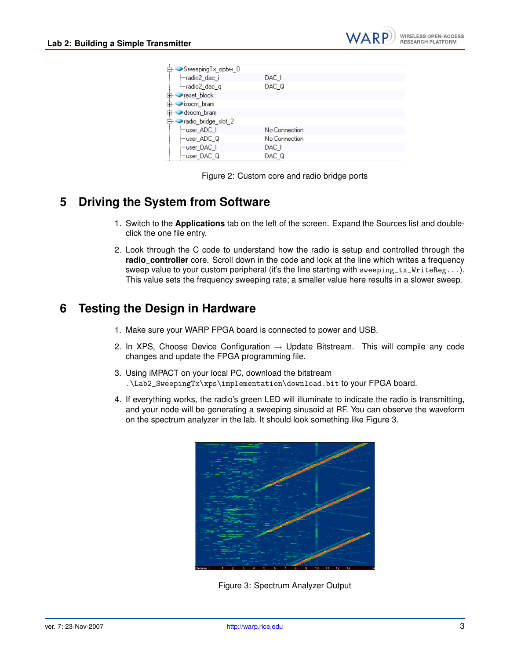| DAC I         |
|---------------|
| DAC Q         |
|               |
|               |
|               |
|               |
| No Connection |
| No Connection |
| DAC I         |
| DAC Q         |
|               |

<span id="page-3-0"></span>Figure 2: Custom core and radio bridge ports

# **5 Driving the System from Software**

- 1. Switch to the **Applications** tab on the left of the screen. Expand the Sources list and doubleclick the one file entry.
- 2. Look through the C code to understand how the radio is setup and controlled through the **radio**\_**controller** core. Scroll down in the code and look at the line which writes a frequency sweep value to your custom peripheral (it's the line starting with sweeping\_tx\_WriteReg...). This value sets the frequency sweeping rate; a smaller value here results in a slower sweep.

# **6 Testing the Design in Hardware**

- 1. Make sure your WARP FPGA board is connected to power and USB.
- 2. In XPS, Choose Device Configuration  $\rightarrow$  Update Bitstream. This will compile any code changes and update the FPGA programming file.
- 3. Using iMPACT on your local PC, download the bitstream .\Lab2\_SweepingTx\xps\implementation\download.bit to your FPGA board.
- 4. If everything works, the radio's green LED will illuminate to indicate the radio is transmitting, and your node will be generating a sweeping sinusoid at RF. You can observe the waveform on the spectrum analyzer in the lab. It should look something like Figure [3.](#page-3-1)



<span id="page-3-1"></span>Figure 3: Spectrum Analyzer Output